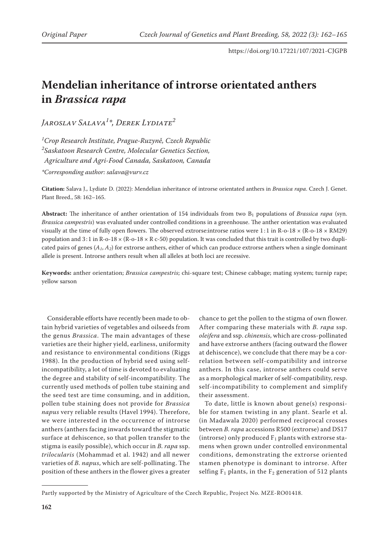# **Mendelian inheritance of introrse orientated anthers in** *Brassica rapa*

*Jaroslav Salava1 \*, Derek Lydiate2*

*1 Crop Research Institute, Prague-Ruzyně, Czech Republic 2 Saskatoon Research Centre, Molecular Genetics Section, Agriculture and Agri-Food Canada, Saskatoon, Canada*

*\*Corresponding author: salava@vurv.cz*

**Citation:** Salava J., Lydiate D. (2022): Mendelian inheritance of introrse orientated anthers in *Brassica rapa*. Czech J. Genet. Plant Breed., 58: 162–165.

Abstract: The inheritance of anther orientation of 154 individuals from two B<sub>1</sub> populations of *Brassica rapa* (syn. *Brassica campestris*) was evaluated under controlled conditions in a greenhouse. The anther orientation was evaluated visually at the time of fully open flowers. The observed extrorse: introrse ratios were  $1:1$  in R-o-18  $\times$  (R-o-18  $\times$  RM29) population and  $3:1$  in R-o-18  $\times$  (R-o-18  $\times$  R c-50) population. It was concluded that this trait is controlled by two duplicated pairs of genes  $(A_1, A_2)$  for extrorse anthers, either of which can produce extrorse anthers when a single dominant allele is present. Introrse anthers result when all alleles at both loci are recessive.

**Keywords:** anther orientation; *Brassica campestris*; chi-square test; Chinese cabbage; mating system; turnip rape; yellow sarson

Considerable efforts have recently been made to obtain hybrid varieties of vegetables and oilseeds from the genus *Brassica*. The main advantages of these varieties are their higher yield, earliness, uniformity and resistance to environmental conditions (Riggs 1988). In the production of hybrid seed using selfincompatibility, a lot of time is devoted to evaluating the degree and stability of self-incompatibility. The currently used methods of pollen tube staining and the seed test are time consuming, and in addition, pollen tube staining does not provide for *Brassica napus* very reliable results (Havel 1994). Therefore, we were interested in the occurrence of introrse anthers (anthers facing inwards toward the stigmatic surface at dehiscence, so that pollen transfer to the stigma is easily possible), which occur in *B. rapa* ssp. *trilocularis* (Mohammad et al. 1942) and all newer varieties of *B. napus*, which are self-pollinating. The position of these anthers in the flower gives a greater

chance to get the pollen to the stigma of own flower. After comparing these materials with *B. rapa* ssp. *oleifera* and ssp. *chinensis*, which are cross-pollinated and have extrorse anthers (facing outward the flower at dehiscence), we conclude that there may be a correlation between self-compatibility and introrse anthers. In this case, introrse anthers could serve as a morphological marker of self-compatibility, resp. self-incompatibility to complement and simplify their assessment.

To date, little is known about gene(s) responsible for stamen twisting in any plant. Searle et al. (in Madawala 2020) performed reciprocal crosses between *B. rapa* accessions R500 (extrorse) and DS17 (introrse) only produced  $F_1$  plants with extrorse stamens when grown under controlled environmental conditions, demonstrating the extrorse oriented stamen phenotype is dominant to introrse. After selfing  $F_1$  plants, in the  $F_2$  generation of 512 plants

Partly supported by the Ministry of Agriculture of the Czech Republic, Project No. MZE-RO01418.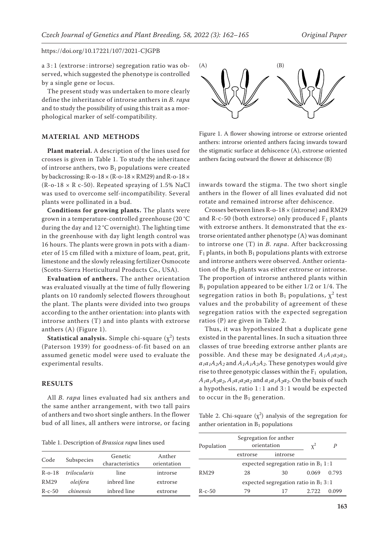a 3 : 1 (extrorse : introrse) segregation ratio was observed, which suggested the phenotype is controlled by a single gene or locus.

The present study was undertaken to more clearly define the inheritance of introrse anthers in *B. rapa* and to study the possibility of using this trait as a morphological marker of self-compatibility.

## **MATERIAL AND METHODS**

**Plant material.** A description of the lines used for crosses is given in Table 1. To study the inheritance of introrse anthers, two  $B_1$  populations were created by backcrossing:  $R$ -o-18  $\times$  ( $R$ -o-18  $\times$   $RM29$ ) and  $R$ -o-18  $\times$  $(R$ -o-18  $\times$  R c-50). Repeated spraying of 1.5% NaCl was used to overcome self-incompatibility. Several plants were pollinated in a bud.

**Conditions for growing plants.** The plants were grown in a temperature-controlled greenhouse (20 °C during the day and 12 °C overnight). The lighting time in the greenhouse with day light length control was 16 hours. The plants were grown in pots with a diameter of 15 cm filled with a mixture of loam, peat, grit, limestone and the slowly releasing fertilizer Osmocote (Scotts-Sierra Horticultural Products Co., USA).

**Evaluation of anthers.** The anther orientation was evaluated visually at the time of fully flowering plants on 10 randomly selected flowers throughout the plant. The plants were divided into two groups according to the anther orientation: into plants with introrse anthers (T) and into plants with extrorse anthers (A) (Figure 1).

**Statistical analysis.** Simple chi-square  $(\chi^2)$  tests (Paterson 1939) for goodness-of-fit based on an assumed genetic model were used to evaluate the experimental results.

### **RESULTS**

All *B. rapa* lines evaluated had six anthers and the same anther arrangement, with two tall pairs of anthers and two short single anthers. In the flower bud of all lines, all anthers were introrse, or facing



Figure 1. A flower showing introrse or extrorse oriented anthers: introrse oriented anthers facing inwards toward the stigmatic surface at dehiscence (A), extrorse oriented anthers facing outward the flower at dehiscence (B)

inwards toward the stigma. The two short single anthers in the flower of all lines evaluated did not rotate and remained introrse after dehiscence.

Crosses between lines R-o-18 × (introrse) and RM29 and R-c-50 (both extrorse) only produced  $F_1$  plants with extrorse anthers. It demonstrated that the extrorse orientated anther phenotype (A) was dominant to introrse one (T) in *B. rapa*. After backcrossing  $F_1$  plants, in both  $B_1$  populations plants with extrorse and introrse anthers were observed. Anther orientation of the  $B_1$  plants was either extrorse or introrse. The proportion of introrse anthered plants within  $B_1$  population appeared to be either  $1/2$  or  $1/4$ . The segregation ratios in both  $B_1$  populations,  $\chi^2$  test values and the probability of agreement of these segregation ratios with the expected segregation ratios (P) are given in Table 2.

Thus, it was hypothesized that a duplicate gene existed in the parental lines. In such a situation three classes of true breeding extrorse anther plants are possible. And these may be designated *A1A1a2a2*,  $a_1a_1A_2A_2$  and  $A_1A_1A_2A_2$ . These genotypes would give rise to three genotypic classes within the  $F_1$  opulation,  $A_1a_1A_2a_2$ ,  $A_1a_1a_2a_2$  and  $a_1a_1A_2a_2$ . On the basis of such a hypothesis, ratio 1 : 1 and 3 : 1 would be expected to occur in the  $B_1$  generation.

Table 2. Chi-square  $(\chi^2)$  analysis of the segregation for anther orientation in  $B_1$  populations

Segregation for anther

| Table 1. Description of Brassica rapa lines used |              |                            |                       | Population                              | orientation |                                         |       |       |
|--------------------------------------------------|--------------|----------------------------|-----------------------|-----------------------------------------|-------------|-----------------------------------------|-------|-------|
| Code                                             | Subspecies   | Genetic<br>characteristics | Anther<br>orientation |                                         | extrorse    | introrse                                |       |       |
|                                                  |              |                            |                       | expected segregation ratio in $B_1$ 1:1 |             |                                         |       |       |
| $R-O-18$                                         | trilocularis | line                       | introrse              | RM29                                    | 28          | 30                                      | 0.069 | 0.793 |
| <b>RM29</b>                                      | oleifera     | inbred line                | extrorse              |                                         |             | expected segregation ratio in $B_1 3:1$ |       |       |
| $R-c-50$                                         | chinensis    | inbred line                | extrorse              | $R-c-50$                                | 79          |                                         | 2.722 | 0.099 |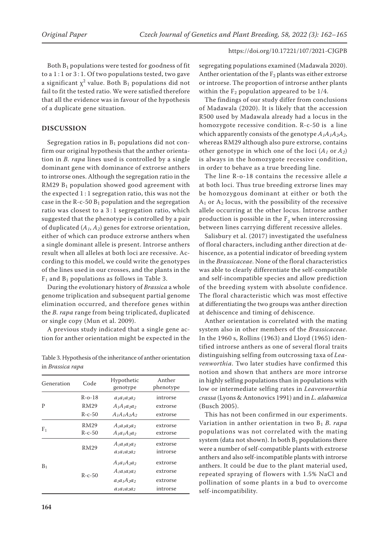Both  $B_1$  populations were tested for goodness of fit to a 1:1 or 3:1. Of two populations tested, two gave a significant  $\chi^2$  value. Both  $B_1$  populations did not fail to fit the tested ratio. We were satisfied therefore that all the evidence was in favour of the hypothesis of a duplicate gene situation.

# **DISCUSSION**

Segregation ratios in  $B_1$  populations did not confirm our original hypothesis that the anther orientation in *B. rapa* lines used is controlled by a single dominant gene with dominance of extrorse anthers to introrse ones. Although the segregation ratio in the  $RM29 B<sub>1</sub>$  population showed good agreement with the expected  $1:1$  segregation ratio, this was not the case in the R-c-50  $B_1$  population and the segregation ratio was closest to a 3 : 1 segregation ratio, which suggested that the phenotype is controlled by a pair of duplicated  $(A_1, A_2)$  genes for extrorse orientation, either of which can produce extrorse anthers when a single dominant allele is present. Introrse anthers result when all alleles at both loci are recessive. According to this model, we could write the genotypes of the lines used in our crosses, and the plants in the  $F_1$  and  $B_1$  populations as follows in Table 3.

During the evolutionary history of *Brassica* a whole genome triplication and subsequent partial genome elimination occurred, and therefore genes within the *B. rapa* range from being triplicated, duplicated or single copy (Mun et al. 2009).

A previous study indicated that a single gene action for anther orientation might be expected in the

Table 3. Hypothesis of the inheritance of anther orientation in *Brassica rapa*

| Generation | Code         | Hypothetic<br>genotype | Anther<br>phenotype |  |
|------------|--------------|------------------------|---------------------|--|
|            | $R - 0 - 18$ | $a1a1a2a2$             | introrse            |  |
| P          | RM29         | $A_1A_1a_2a_2$         | extrorse            |  |
|            | $R-c-50$     | $A_1A_1A_2A_2$         | extrorse            |  |
|            | RM29         | $A_1a_1a_2a_2$         | extrorse            |  |
| F1         | $R - c - 50$ | $A_1a_1A_2a_2$         | extrorse            |  |
|            |              | $A_1a_1a_2a_2$         | extrorse            |  |
|            | RM29         | $a_1a_1a_2a_2$         | introrse            |  |
|            | $R - c - 50$ | $A_1a_1A_2a_2$         | extrorse            |  |
| $\rm B_1$  |              | $A_1a_1a_2a_2$         | extrorse            |  |
|            |              | $a_1a_1A_2a_2$         | extrorse            |  |
|            |              | $a_1a_1a_2a_2$         | introrse            |  |
|            |              |                        |                     |  |

**164**

segregating populations examined (Madawala 2020). Anther orientation of the  $F_2$  plants was either extrorse or introrse. The proportion of introrse anther plants within the  $F_2$  population appeared to be 1/4.

The findings of our study differ from conclusions of Madawala (2020). It is likely that the accession R500 used by Madawala already had a locus in the homozygote recessive condition. R-c-50 is a line which apparently consists of the genotype  $A_1A_2A_2A_3$ whereas RM29 although also pure extrorse, contains other genotype in which one of the loci (*A1* or *A2*) is always in the homozygote recessive condition, in order to behave as a true breeding line.

The line R-o-18 contains the recessive allele *a* at both loci. Thus true breeding extrorse lines may be homozygous dominant at either or both the  $A_1$  or  $A_2$  locus, with the possibility of the recessive allele occurring at the other locus. Introrse anther production is possible in the  $F<sub>2</sub>$  when intercrossing between lines carrying different recessive alleles.

Salisbury et al. (2017) investigated the usefulness of floral characters, including anther direction at dehiscence, as a potential indicator of breeding system in the *Brassicaceae*. None of the floral characteristics was able to clearly differentiate the self-compatible and self-incompatible species and allow prediction of the breeding system with absolute confidence. The floral characteristic which was most effective at differentiating the two groups was anther direction at dehiscence and timing of dehiscence.

Anther orientation is correlated with the mating system also in other members of the *Brassicaceae*. In the 1960 s, Rollins (1963) and Lloyd (1965) identified introrse anthers as one of several floral traits distinguishing selfing from outcrossing taxa of *Leavenworthia*. Two later studies have confirmed this notion and shown that anthers are more introrse in highly selfing populations than in populations with low or intermediate selfing rates in *Leavenworthia crassa* (Lyons & Antonovics 1991) and in *L. alabamica* (Busch 2005).

This has not been confirmed in our experiments. Variation in anther orientation in two B1 *B. rapa* populations was not correlated with the mating system (data not shown). In both  $B_1$  populations there were a number of self-compatible plants with extrorse anthers and also self-incompatible plants with introrse anthers. It could be due to the plant material used, repeated spraying of flowers with 1.5% NaCl and pollination of some plants in a bud to overcome self-incompatibility.